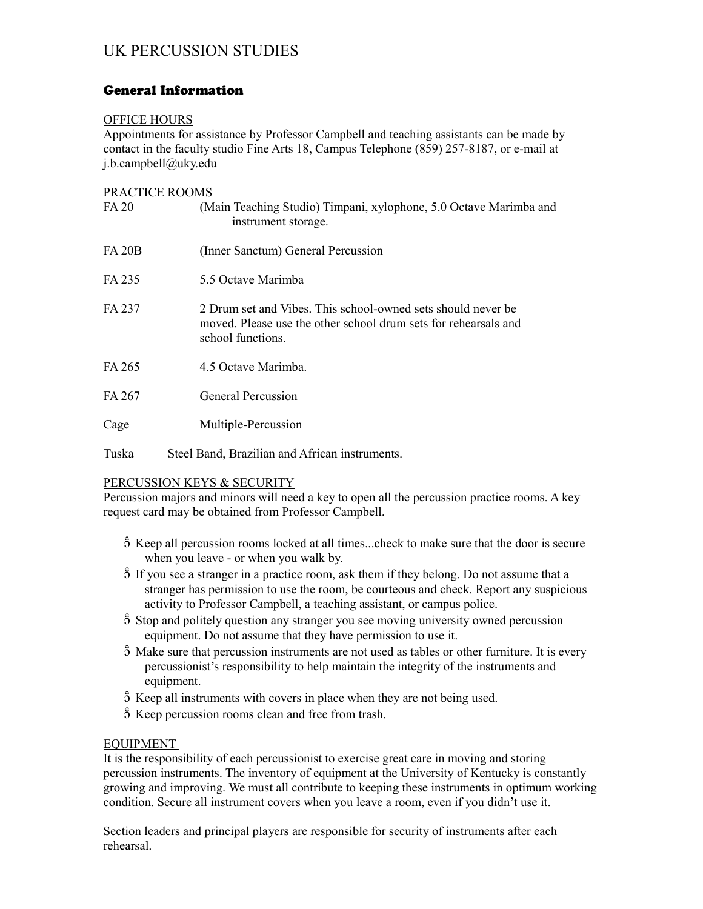# UK PERCUSSION STUDIES

# General Information

## OFFICE HOURS

Appointments for assistance by Professor Campbell and teaching assistants can be made by contact in the faculty studio Fine Arts 18, Campus Telephone (859) 257-8187, or e-mail at j.b.campbell@uky.edu

## PRACTICE ROOMS

| FA 20         | (Main Teaching Studio) Timpani, xylophone, 5.0 Octave Marimba and<br>instrument storage.                                                             |
|---------------|------------------------------------------------------------------------------------------------------------------------------------------------------|
| <b>FA 20B</b> | (Inner Sanctum) General Percussion                                                                                                                   |
| FA 235        | 5.5 Octave Marimba                                                                                                                                   |
| FA 237        | 2 Drum set and Vibes. This school-owned sets should never be<br>moved. Please use the other school drum sets for rehearsals and<br>school functions. |
| FA 265        | 4.5 Octave Marimba.                                                                                                                                  |
| FA 267        | General Percussion                                                                                                                                   |
| Cage          | Multiple-Percussion                                                                                                                                  |
| Tuska         | Steel Band, Brazilian and African instruments.                                                                                                       |

## PERCUSSION KEYS & SECURITY

Percussion majors and minors will need a key to open all the percussion practice rooms. A key request card may be obtained from Professor Campbell.

- $\hat{5}$  Keep all percussion rooms locked at all times...check to make sure that the door is secure when you leave - or when you walk by.
- $\hat{5}$  If you see a stranger in a practice room, ask them if they belong. Do not assume that a stranger has permission to use the room, be courteous and check. Report any suspicious activity to Professor Campbell, a teaching assistant, or campus police.
- $\hat{S}$  Stop and politely question any stranger you see moving university owned percussion equipment. Do not assume that they have permission to use it.
- $\hat{5}$  Make sure that percussion instruments are not used as tables or other furniture. It is every percussionist's responsibility to help maintain the integrity of the instruments and equipment.
- $\hat{S}$  Keep all instruments with covers in place when they are not being used.
- $\hat{5}$  Keep percussion rooms clean and free from trash.

## EQUIPMENT

It is the responsibility of each percussionist to exercise great care in moving and storing percussion instruments. The inventory of equipment at the University of Kentucky is constantly growing and improving. We must all contribute to keeping these instruments in optimum working condition. Secure all instrument covers when you leave a room, even if you didn't use it.

Section leaders and principal players are responsible for security of instruments after each rehearsal.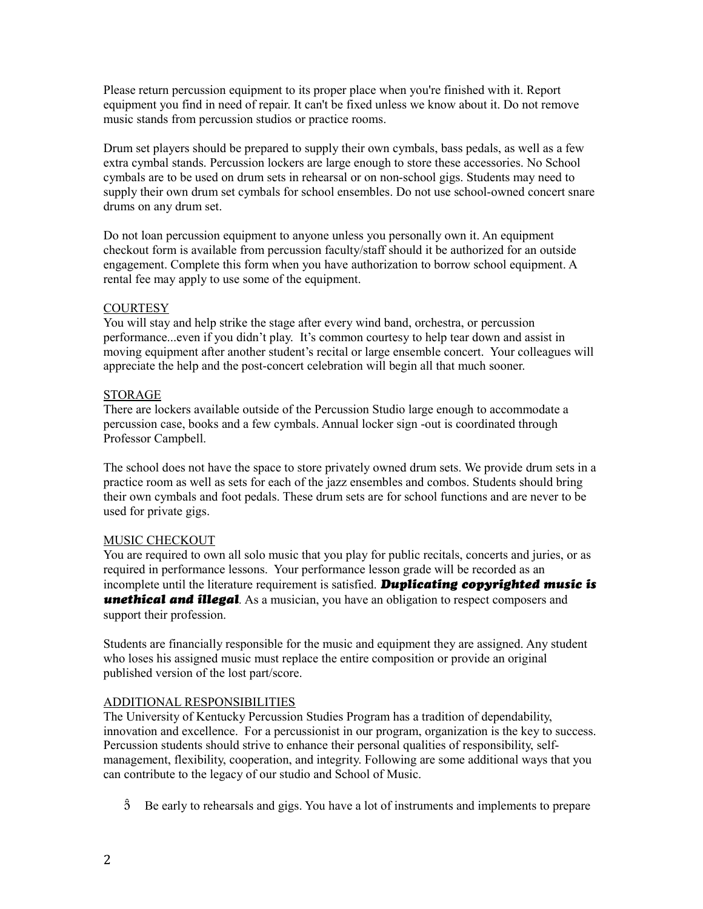Please return percussion equipment to its proper place when you're finished with it. Report equipment you find in need of repair. It can't be fixed unless we know about it. Do not remove music stands from percussion studios or practice rooms.

Drum set players should be prepared to supply their own cymbals, bass pedals, as well as a few extra cymbal stands. Percussion lockers are large enough to store these accessories. No School cymbals are to be used on drum sets in rehearsal or on non-school gigs. Students may need to supply their own drum set cymbals for school ensembles. Do not use school-owned concert snare drums on any drum set.

Do not loan percussion equipment to anyone unless you personally own it. An equipment checkout form is available from percussion faculty/staff should it be authorized for an outside engagement. Complete this form when you have authorization to borrow school equipment. A rental fee may apply to use some of the equipment.

## **COURTESY**

You will stay and help strike the stage after every wind band, orchestra, or percussion performance...even if you didn't play. It's common courtesy to help tear down and assist in moving equipment after another student's recital or large ensemble concert. Your colleagues will appreciate the help and the post-concert celebration will begin all that much sooner.

#### STORAGE

There are lockers available outside of the Percussion Studio large enough to accommodate a percussion case, books and a few cymbals. Annual locker sign -out is coordinated through Professor Campbell.

The school does not have the space to store privately owned drum sets. We provide drum sets in a practice room as well as sets for each of the jazz ensembles and combos. Students should bring their own cymbals and foot pedals. These drum sets are for school functions and are never to be used for private gigs.

## MUSIC CHECKOUT

You are required to own all solo music that you play for public recitals, concerts and juries, or as required in performance lessons. Your performance lesson grade will be recorded as an incomplete until the literature requirement is satisfied. *Duplicating copyrighted music is* **unethical and illegal**. As a musician, you have an obligation to respect composers and support their profession.

Students are financially responsible for the music and equipment they are assigned. Any student who loses his assigned music must replace the entire composition or provide an original published version of the lost part/score.

## ADDITIONAL RESPONSIBILITIES

The University of Kentucky Percussion Studies Program has a tradition of dependability, innovation and excellence. For a percussionist in our program, organization is the key to success. Percussion students should strive to enhance their personal qualities of responsibility, selfmanagement, flexibility, cooperation, and integrity. Following are some additional ways that you can contribute to the legacy of our studio and School of Music.

 $\hat{5}$  Be early to rehearsals and gigs. You have a lot of instruments and implements to prepare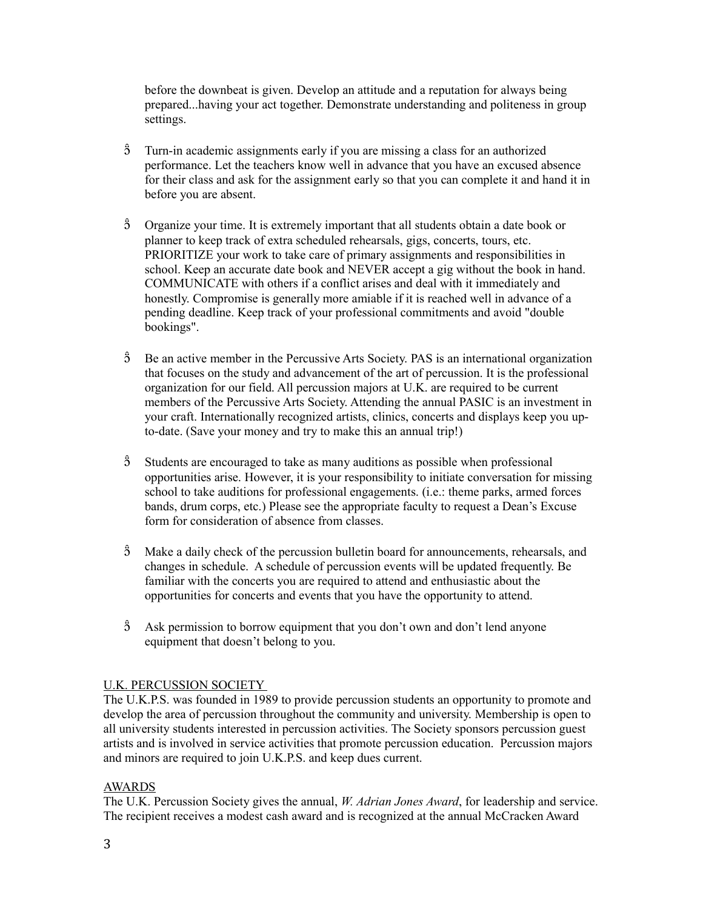before the downbeat is given. Develop an attitude and a reputation for always being prepared...having your act together. Demonstrate understanding and politeness in group settings.

- Turn-in academic assignments early if you are missing a class for an authorized performance. Let the teachers know well in advance that you have an excused absence for their class and ask for the assignment early so that you can complete it and hand it in before you are absent.
- Organize your time. It is extremely important that all students obtain a date book or planner to keep track of extra scheduled rehearsals, gigs, concerts, tours, etc. PRIORITIZE your work to take care of primary assignments and responsibilities in school. Keep an accurate date book and NEVER accept a gig without the book in hand. COMMUNICATE with others if a conflict arises and deal with it immediately and honestly. Compromise is generally more amiable if it is reached well in advance of a pending deadline. Keep track of your professional commitments and avoid "double bookings".
- $\hat{5}$  Be an active member in the Percussive Arts Society. PAS is an international organization that focuses on the study and advancement of the art of percussion. It is the professional organization for our field. All percussion majors at U.K. are required to be current members of the Percussive Arts Society. Attending the annual PASIC is an investment in your craft. Internationally recognized artists, clinics, concerts and displays keep you upto-date. (Save your money and try to make this an annual trip!)
- $\hat{3}$  Students are encouraged to take as many auditions as possible when professional opportunities arise. However, it is your responsibility to initiate conversation for missing school to take auditions for professional engagements. (i.e.: theme parks, armed forces bands, drum corps, etc.) Please see the appropriate faculty to request a Dean's Excuse form for consideration of absence from classes.
- $\hat{3}$  Make a daily check of the percussion bulletin board for announcements, rehearsals, and changes in schedule. A schedule of percussion events will be updated frequently. Be familiar with the concerts you are required to attend and enthusiastic about the opportunities for concerts and events that you have the opportunity to attend.
- $\hat{3}$  Ask permission to borrow equipment that you don't own and don't lend anyone equipment that doesn't belong to you.

# U.K. PERCUSSION SOCIETY

The U.K.P.S. was founded in 1989 to provide percussion students an opportunity to promote and develop the area of percussion throughout the community and university. Membership is open to all university students interested in percussion activities. The Society sponsors percussion guest artists and is involved in service activities that promote percussion education. Percussion majors and minors are required to join U.K.P.S. and keep dues current.

## AWARDS

The U.K. Percussion Society gives the annual, *W. Adrian Jones Award*, for leadership and service. The recipient receives a modest cash award and is recognized at the annual McCracken Award